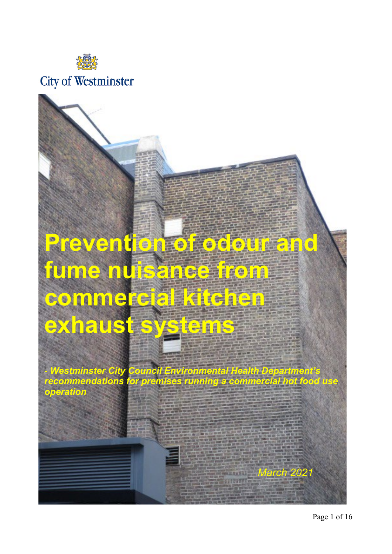

## **City of Westminster**

# **Prevention of odour and fume nuisance from commercial kitchen exhaust systems**

*- Westminster City Council Environmental Health Department's recommendations for premises running a commercial hot food use operation*

*March 2021*

Page 1 of 16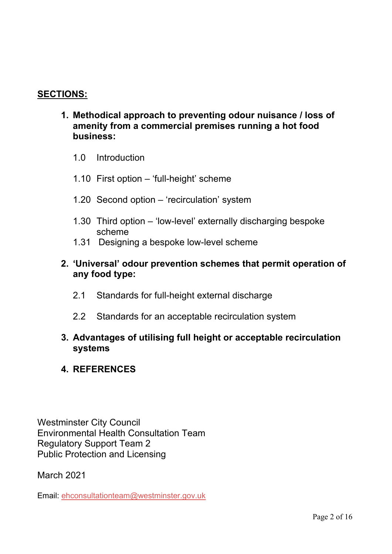## **SECTIONS:**

- **1. Methodical approach to preventing odour nuisance / loss of amenity from a commercial premises running a hot food business:**
	- 1.0 Introduction
	- 1.10 First option 'full-height' scheme
	- 1.20 Second option 'recirculation' system
	- 1.30 Third option 'low-level' externally discharging bespoke scheme
	- 1.31 Designing a bespoke low-level scheme

## **2. 'Universal' odour prevention schemes that permit operation of any food type:**

- 2.1 Standards for full-height external discharge
- 2.2 Standards for an acceptable recirculation system

## **3. Advantages of utilising full height or acceptable recirculation systems**

## **4. REFERENCES**

Westminster City Council Environmental Health Consultation Team Regulatory Support Team 2 Public Protection and Licensing

March 2021

Email: [ehconsultationteam@westminster.gov.uk](mailto:ehconsultationteam@westminster.gov.uk)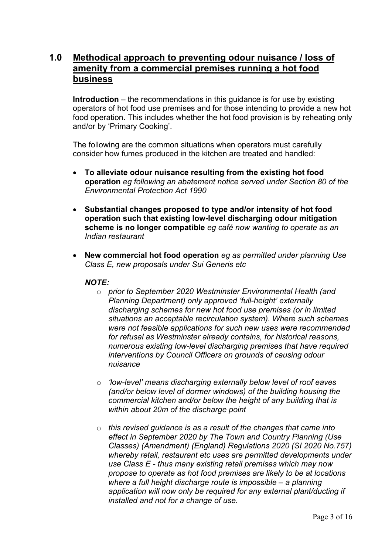## **1.0 Methodical approach to preventing odour nuisance / loss of amenity from a commercial premises running a hot food business**

**Introduction** – the recommendations in this guidance is for use by existing operators of hot food use premises and for those intending to provide a new hot food operation. This includes whether the hot food provision is by reheating only and/or by 'Primary Cooking'.

The following are the common situations when operators must carefully consider how fumes produced in the kitchen are treated and handled:

- **To alleviate odour nuisance resulting from the existing hot food operation** *eg following an abatement notice served under Section 80 of the Environmental Protection Act 1990*
- **Substantial changes proposed to type and/or intensity of hot food operation such that existing low-level discharging odour mitigation scheme is no longer compatible** *eg café now wanting to operate as an Indian restaurant*
- **New commercial hot food operation** *eg as permitted under planning Use Class E, new proposals under Sui Generis etc*

#### *NOTE:*

- o *prior to September 2020 Westminster Environmental Health (and Planning Department) only approved 'full-height' externally discharging schemes for new hot food use premises (or in limited situations an acceptable recirculation system). Where such schemes were not feasible applications for such new uses were recommended for refusal as Westminster already contains, for historical reasons, numerous existing low-level discharging premises that have required interventions by Council Officers on grounds of causing odour nuisance*
- o *'low-level' means discharging externally below level of roof eaves (and/or below level of dormer windows) of the building housing the commercial kitchen and/or below the height of any building that is within about 20m of the discharge point*
- o *this revised guidance is as a result of the changes that came into effect in September 2020 by The Town and Country Planning (Use Classes) (Amendment) (England) Regulations 2020 (SI 2020 No.757) whereby retail, restaurant etc uses are permitted developments under use Class E - thus many existing retail premises which may now propose to operate as hot food premises are likely to be at locations where a full height discharge route is impossible – a planning application will now only be required for any external plant/ducting if installed and not for a change of use.*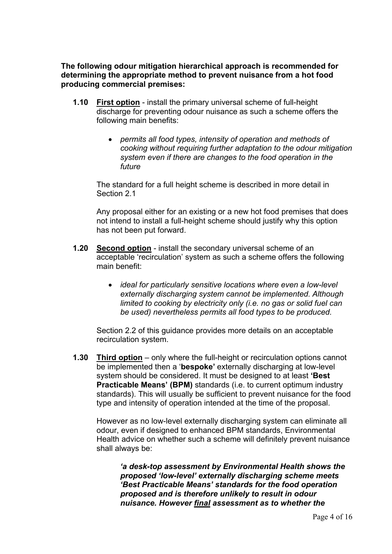**The following odour mitigation hierarchical approach is recommended for determining the appropriate method to prevent nuisance from a hot food producing commercial premises:**

- **1.10 First option** install the primary universal scheme of full-height discharge for preventing odour nuisance as such a scheme offers the following main benefits:
	- *permits all food types, intensity of operation and methods of cooking without requiring further adaptation to the odour mitigation system even if there are changes to the food operation in the future*

The standard for a full height scheme is described in more detail in Section 2.1

Any proposal either for an existing or a new hot food premises that does not intend to install a full-height scheme should justify why this option has not been put forward.

- **1.20 Second option** install the secondary universal scheme of an acceptable 'recirculation' system as such a scheme offers the following main benefit:
	- *ideal for particularly sensitive locations where even a low-level externally discharging system cannot be implemented. Although limited to cooking by electricity only (i.e. no gas or solid fuel can be used) nevertheless permits all food types to be produced.*

Section 2.2 of this guidance provides more details on an acceptable recirculation system.

**1.30 Third option** – only where the full-height or recirculation options cannot be implemented then a '**bespoke'** externally discharging at low-level system should be considered. It must be designed to at least **'Best Practicable Means' (BPM)** standards (i.e. to current optimum industry standards). This will usually be sufficient to prevent nuisance for the food type and intensity of operation intended at the time of the proposal.

However as no low-level externally discharging system can eliminate all odour, even if designed to enhanced BPM standards, Environmental Health advice on whether such a scheme will definitely prevent nuisance shall always be:

*'a desk-top assessment by Environmental Health shows the proposed 'low-level' externally discharging scheme meets 'Best Practicable Means' standards for the food operation proposed and is therefore unlikely to result in odour nuisance. However final assessment as to whether the*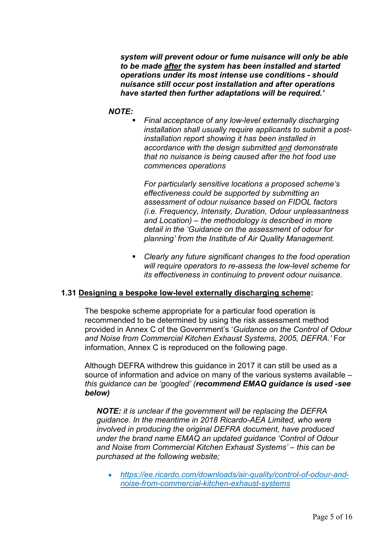*system will prevent odour or fume nuisance will only be able to be made after the system has been installed and started operations under its most intense use conditions - should nuisance still occur post installation and after operations have started then further adaptations will be required.'*

#### *NOTE:*

 *Final acceptance of any low-level externally discharging installation shall usually require applicants to submit a postinstallation report showing it has been installed in accordance with the design submitted and demonstrate that no nuisance is being caused after the hot food use commences operations*

*For particularly sensitive locations a proposed scheme's effectiveness could be supported by submitting an assessment of odour nuisance based on FIDOL factors (i.e. Frequency, Intensity, Duration, Odour unpleasantness and Location) – the methodology is described in more detail in the 'Guidance on the assessment of odour for planning' from the Institute of Air Quality Management.*

 *Clearly any future significant changes to the food operation will require operators to re-assess the low-level scheme for its effectiveness in continuing to prevent odour nuisance.* 

#### **1.31 Designing a bespoke low-level externally discharging scheme:**

The bespoke scheme appropriate for a particular food operation is recommended to be determined by using the risk assessment method provided in Annex C of the Government's '*Guidance on the Control of Odour and Noise from Commercial Kitchen Exhaust Systems, 2005, DEFRA.'* For information, Annex C is reproduced on the following page.

Although DEFRA withdrew this guidance in 2017 it can still be used as a source of information and advice on many of the various systems available *– this guidance can be 'googled' (recommend EMAQ guidance is used -see below)*

*NOTE: it is unclear if the government will be replacing the DEFRA guidance. In the meantime in 2018 Ricardo-AEA Limited, who were involved in producing the original DEFRA document, have produced under the brand name EMAQ an updated guidance 'Control of Odour and Noise from Commercial Kitchen Exhaust Systems' – this can be purchased at the following website;*

• *[https://ee.ricardo.com/downloads/air-quality/control-of-odour-and](https://ee.ricardo.com/downloads/air-quality/control-of-odour-and-noise-from-commercial-kitchen-exhaust-systems)[noise-from-commercial-kitchen-exhaust-systems](https://ee.ricardo.com/downloads/air-quality/control-of-odour-and-noise-from-commercial-kitchen-exhaust-systems)*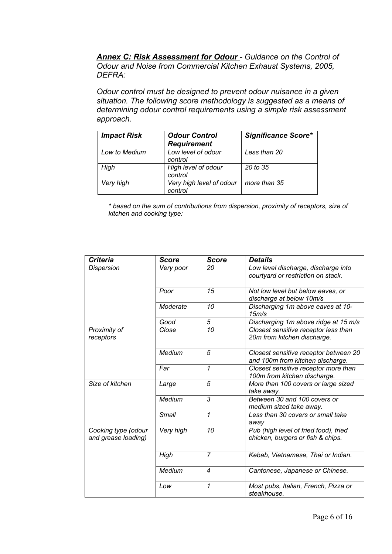*Annex C: Risk Assessment for Odour - Guidance on the Control of Odour and Noise from Commercial Kitchen Exhaust Systems, 2005, DEFRA:*

*Odour control must be designed to prevent odour nuisance in a given situation. The following score methodology is suggested as a means of determining odour control requirements using a simple risk assessment approach.* 

| <b>Impact Risk</b> | <b>Odour Control</b><br><b>Requirement</b> | <b>Significance Score*</b> |
|--------------------|--------------------------------------------|----------------------------|
| Low to Medium      | Low level of odour<br>control              | Less than 20               |
| High               | High level of odour<br>control             | 20 to 35                   |
| Very high          | Very high level of odour<br>control        | more than 35               |

*\* based on the sum of contributions from dispersion, proximity of receptors, size of kitchen and cooking type:*

| <b>Criteria</b>                            | Score        | <b>Score</b>            | <b>Details</b>                                                             |  |  |
|--------------------------------------------|--------------|-------------------------|----------------------------------------------------------------------------|--|--|
| Dispersion                                 | Very poor    | 20                      | Low level discharge, discharge into<br>courtyard or restriction on stack.  |  |  |
|                                            | Poor         | 15                      | Not low level but below eaves, or<br>discharge at below 10m/s              |  |  |
|                                            | Moderate     | 10                      | Discharging 1m above eaves at 10-<br>15m/s                                 |  |  |
|                                            | Good         | 5                       | Discharging 1m above ridge at 15 m/s                                       |  |  |
| Proximity of<br>receptors                  | Close        | 10                      | Closest sensitive receptor less than<br>20m from kitchen discharge.        |  |  |
|                                            | Medium       | 5                       | Closest sensitive receptor between 20<br>and 100m from kitchen discharge.  |  |  |
|                                            | Far          | $\overline{\mathbf{1}}$ | Closest sensitive receptor more than<br>100m from kitchen discharge.       |  |  |
| Size of kitchen                            | Large        | 5                       | More than 100 covers or large sized<br>take away.                          |  |  |
|                                            | Medium       | 3                       | Between 30 and 100 covers or<br>medium sized take away.                    |  |  |
|                                            | <b>Small</b> | $\mathcal{I}$           | Less than 30 covers or small take<br>away                                  |  |  |
| Cooking type (odour<br>and grease loading) | Very high    | 10                      | Pub (high level of fried food), fried<br>chicken, burgers or fish & chips. |  |  |
|                                            | High         | $\overline{7}$          | Kebab, Vietnamese, Thai or Indian.                                         |  |  |
|                                            | Medium       | 4                       | Cantonese, Japanese or Chinese.                                            |  |  |
|                                            | Low          | 1                       | Most pubs, Italian, French, Pizza or<br>steakhouse.                        |  |  |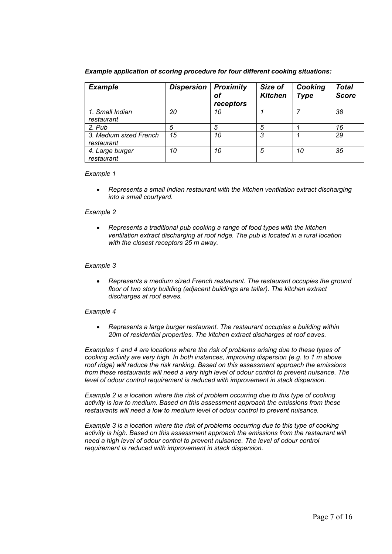| <b>Example</b>                       | <b>Dispersion</b> | <b>Proximity</b><br>of<br>receptors | Size of<br><b>Kitchen</b> | Cooking<br><b>Type</b> | <b>Total</b><br><b>Score</b> |
|--------------------------------------|-------------------|-------------------------------------|---------------------------|------------------------|------------------------------|
| 1. Small Indian<br>restaurant        | 20                | 10                                  |                           |                        | 38                           |
| 2. Pub                               |                   | 5                                   | 5                         |                        | 16                           |
| 3. Medium sized French<br>restaurant | 15                | 10                                  | 3                         |                        | 29                           |
| 4. Large burger<br>restaurant        | 10                | 10                                  | 5                         | 10                     | 35                           |

*Example application of scoring procedure for four different cooking situations:*

#### *Example 1*

• Represents a small Indian restaurant with the kitchen ventilation extract discharging *into a small courtyard.*

#### *Example 2*

• *Represents a traditional pub cooking a range of food types with the kitchen ventilation extract discharging at roof ridge. The pub is located in a rural location with the closest receptors 25 m away.*

#### *Example 3*

• *Represents a medium sized French restaurant. The restaurant occupies the ground floor of two story building (adjacent buildings are taller). The kitchen extract discharges at roof eaves.*

#### *Example 4*

• *Represents a large burger restaurant. The restaurant occupies a building within 20m of residential properties. The kitchen extract discharges at roof eaves.*

*Examples 1 and 4 are locations where the risk of problems arising due to these types of cooking activity are very high. In both instances, improving dispersion (e.g. to 1 m above*  roof ridge) will reduce the risk ranking. Based on this assessment approach the emissions *from these restaurants will need a very high level of odour control to prevent nuisance. The level of odour control requirement is reduced with improvement in stack dispersion.*

*Example 2 is a location where the risk of problem occurring due to this type of cooking activity is low to medium. Based on this assessment approach the emissions from these restaurants will need a low to medium level of odour control to prevent nuisance.*

*Example 3 is a location where the risk of problems occurring due to this type of cooking activity is high. Based on this assessment approach the emissions from the restaurant will need a high level of odour control to prevent nuisance. The level of odour control requirement is reduced with improvement in stack dispersion.*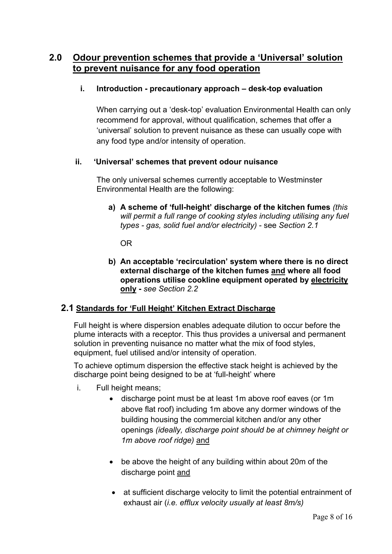## **2.0 Odour prevention schemes that provide a 'Universal' solution to prevent nuisance for any food operation**

### **i. Introduction - precautionary approach – desk-top evaluation**

When carrying out a 'desk-top' evaluation Environmental Health can only recommend for approval, without qualification, schemes that offer a 'universal' solution to prevent nuisance as these can usually cope with any food type and/or intensity of operation.

#### **ii. 'Universal' schemes that prevent odour nuisance**

The only universal schemes currently acceptable to Westminster Environmental Health are the following:

**a) A scheme of 'full-height' discharge of the kitchen fumes** *(this will permit a full range of cooking styles including utilising any fuel types - gas, solid fuel and/or electricity)* - see *Section 2.1*

OR

**b) An acceptable 'recirculation' system where there is no direct external discharge of the kitchen fumes and where all food operations utilise cookline equipment operated by electricity only -** *see Section 2.2*

## **2.1 Standards for 'Full Height' Kitchen Extract Discharge**

Full height is where dispersion enables adequate dilution to occur before the plume interacts with a receptor. This thus provides a universal and permanent solution in preventing nuisance no matter what the mix of food styles, equipment, fuel utilised and/or intensity of operation.

To achieve optimum dispersion the effective stack height is achieved by the discharge point being designed to be at 'full-height' where

- i. Full height means;
	- discharge point must be at least 1m above roof eaves (or 1m above flat roof) including 1m above any dormer windows of the building housing the commercial kitchen and/or any other openings *(ideally, discharge point should be at chimney height or 1m above roof ridge)* and
	- be above the height of any building within about 20m of the discharge point and
	- at sufficient discharge velocity to limit the potential entrainment of exhaust air (*i.e. efflux velocity usually at least 8m/s)*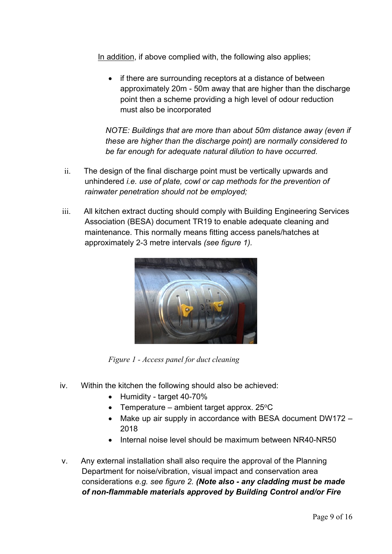In addition, if above complied with, the following also applies;

• if there are surrounding receptors at a distance of between approximately 20m - 50m away that are higher than the discharge point then a scheme providing a high level of odour reduction must also be incorporated

*NOTE: Buildings that are more than about 50m distance away (even if these are higher than the discharge point) are normally considered to be far enough for adequate natural dilution to have occurred.* 

- ii. The design of the final discharge point must be vertically upwards and unhindered *i.e. use of plate, cowl or cap methods for the prevention of rainwater penetration should not be employed;*
- iii. All kitchen extract ducting should comply with Building Engineering Services Association (BESA) document TR19 to enable adequate cleaning and maintenance. This normally means fitting access panels/hatches at approximately 2-3 metre intervals *(see figure 1).*



*Figure 1 - Access panel for duct cleaning*

- iv. Within the kitchen the following should also be achieved:
	- Humidity target 40-70%
	- Temperature ambient target approx.  $25^{\circ}$ C
	- Make up air supply in accordance with BESA document DW172 2018
	- Internal noise level should be maximum between NR40-NR50
- v. Any external installation shall also require the approval of the Planning Department for noise/vibration, visual impact and conservation area considerations *e.g. see figure 2. (Note also - any cladding must be made of non-flammable materials approved by Building Control and/or Fire*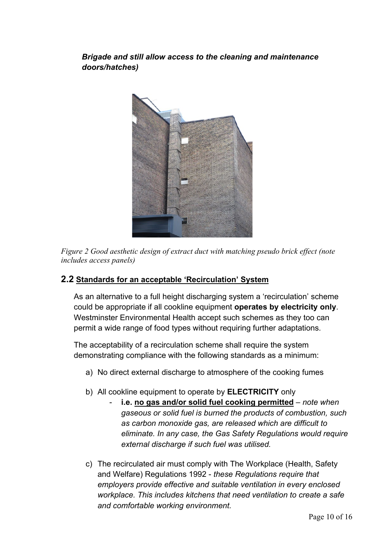## *Brigade and still allow access to the cleaning and maintenance doors/hatches)*



*Figure 2 Good aesthetic design of extract duct with matching pseudo brick effect (note includes access panels)*

## **2.2 Standards for an acceptable 'Recirculation' System**

As an alternative to a full height discharging system a 'recirculation' scheme could be appropriate if all cookline equipment **operates by electricity only**. Westminster Environmental Health accept such schemes as they too can permit a wide range of food types without requiring further adaptations.

The acceptability of a recirculation scheme shall require the system demonstrating compliance with the following standards as a minimum:

- a) No direct external discharge to atmosphere of the cooking fumes
- b) All cookline equipment to operate by **ELECTRICITY** only
	- **i.e. no gas and/or solid fuel cooking permitted** *note when gaseous or solid fuel is burned the products of combustion, such as carbon monoxide gas, are released which are difficult to eliminate. In any case, the Gas Safety Regulations would require external discharge if such fuel was utilised.*
- c) The recirculated air must comply with The Workplace (Health, Safety and Welfare) Regulations 1992 - *these Regulations require that employers provide effective and suitable ventilation in every enclosed workplace. This includes kitchens that need ventilation to create a safe and comfortable working environment.*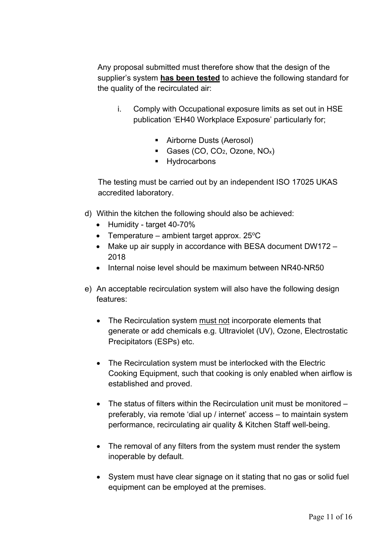Any proposal submitted must therefore show that the design of the supplier's system **has been tested** to achieve the following standard for the quality of the recirculated air:

- i. Comply with Occupational exposure limits as set out in HSE publication 'EH40 Workplace Exposure' particularly for;
	- Airborne Dusts (Aerosol)
	- Gases (CO, CO<sub>2</sub>, Ozone, NO<sub>x</sub>)
	- **Hydrocarbons**

The testing must be carried out by an independent ISO 17025 UKAS accredited laboratory.

- d) Within the kitchen the following should also be achieved:
	- Humidity target 40-70%
	- Temperature ambient target approx.  $25^{\circ}$ C
	- Make up air supply in accordance with BESA document DW172 -2018
	- Internal noise level should be maximum between NR40-NR50
- e) An acceptable recirculation system will also have the following design features:
	- The Recirculation system must not incorporate elements that generate or add chemicals e.g. Ultraviolet (UV), Ozone, Electrostatic Precipitators (ESPs) etc.
	- The Recirculation system must be interlocked with the Electric Cooking Equipment, such that cooking is only enabled when airflow is established and proved.
	- The status of filters within the Recirculation unit must be monitored preferably, via remote 'dial up / internet' access – to maintain system performance, recirculating air quality & Kitchen Staff well-being.
	- The removal of any filters from the system must render the system inoperable by default.
	- System must have clear signage on it stating that no gas or solid fuel equipment can be employed at the premises.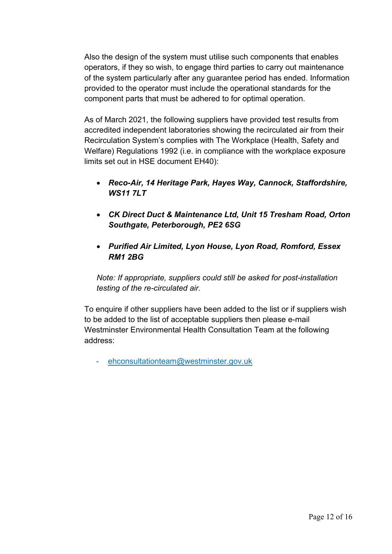Also the design of the system must utilise such components that enables operators, if they so wish, to engage third parties to carry out maintenance of the system particularly after any guarantee period has ended. Information provided to the operator must include the operational standards for the component parts that must be adhered to for optimal operation.

As of March 2021, the following suppliers have provided test results from accredited independent laboratories showing the recirculated air from their Recirculation System's complies with The Workplace (Health, Safety and Welfare) Regulations 1992 (i.e. in compliance with the workplace exposure limits set out in HSE document EH40):

- *Reco-Air, 14 Heritage Park, Hayes Way, Cannock, Staffordshire, WS11 7LT*
- *CK Direct Duct & Maintenance Ltd, Unit 15 Tresham Road, Orton Southgate, Peterborough, PE2 6SG*
- *Purified Air Limited, Lyon House, Lyon Road, Romford, Essex RM1 2BG*

*Note: If appropriate, suppliers could still be asked for post-installation testing of the re-circulated air.*

To enquire if other suppliers have been added to the list or if suppliers wish to be added to the list of acceptable suppliers then please e-mail Westminster Environmental Health Consultation Team at the following address:

- [ehconsultationteam@westminster.gov.uk](mailto:ehconsultationteam@westminster.gov.uk)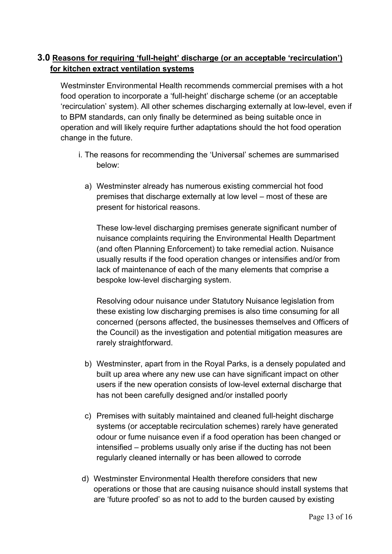## **3.0 Reasons for requiring 'full-height' discharge (or an acceptable 'recirculation') for kitchen extract ventilation systems**

Westminster Environmental Health recommends commercial premises with a hot food operation to incorporate a 'full-height' discharge scheme (or an acceptable 'recirculation' system). All other schemes discharging externally at low-level, even if to BPM standards, can only finally be determined as being suitable once in operation and will likely require further adaptations should the hot food operation change in the future.

- i. The reasons for recommending the 'Universal' schemes are summarised below:
	- a) Westminster already has numerous existing commercial hot food premises that discharge externally at low level – most of these are present for historical reasons.

These low-level discharging premises generate significant number of nuisance complaints requiring the Environmental Health Department (and often Planning Enforcement) to take remedial action. Nuisance usually results if the food operation changes or intensifies and/or from lack of maintenance of each of the many elements that comprise a bespoke low-level discharging system.

Resolving odour nuisance under Statutory Nuisance legislation from these existing low discharging premises is also time consuming for all concerned (persons affected, the businesses themselves and Officers of the Council) as the investigation and potential mitigation measures are rarely straightforward.

- b) Westminster, apart from in the Royal Parks, is a densely populated and built up area where any new use can have significant impact on other users if the new operation consists of low-level external discharge that has not been carefully designed and/or installed poorly
- c) Premises with suitably maintained and cleaned full-height discharge systems (or acceptable recirculation schemes) rarely have generated odour or fume nuisance even if a food operation has been changed or intensified – problems usually only arise if the ducting has not been regularly cleaned internally or has been allowed to corrode
- d) Westminster Environmental Health therefore considers that new operations or those that are causing nuisance should install systems that are 'future proofed' so as not to add to the burden caused by existing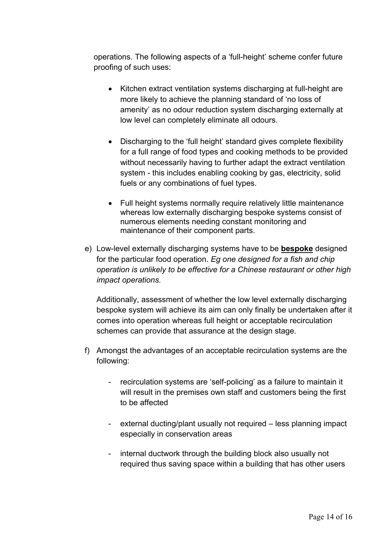operations. The following aspects of a 'full-height' scheme confer future proofing of such uses:

- Kitchen extract ventilation systems discharging at full-height are more likely to achieve the planning standard of 'no loss of amenity' as no odour reduction system discharging externally at low level can completely eliminate all odours.
- Discharging to the 'full height' standard gives complete flexibility for a full range of food types and cooking methods to be provided without necessarily having to further adapt the extract ventilation system - this includes enabling cooking by gas, electricity, solid fuels or any combinations of fuel types.
- Full height systems normally require relatively little maintenance whereas low externally discharging bespoke systems consist of numerous elements needing constant monitoring and maintenance of their component parts.
- e) Low-level externally discharging systems have to be **bespoke** designed for the particular food operation. *Eg one designed for a fish and chip operation is unlikely to be effective for a Chinese restaurant or other high impact operations.*

Additionally, assessment of whether the low level externally discharging bespoke system will achieve its aim can only finally be undertaken after it comes into operation whereas full height or acceptable recirculation schemes can provide that assurance at the design stage.

- f) Amongst the advantages of an acceptable recirculation systems are the following:
	- recirculation systems are 'self-policing' as a failure to maintain it will result in the premises own staff and customers being the first to be affected
	- external ducting/plant usually not required less planning impact especially in conservation areas
	- internal ductwork through the building block also usually not required thus saving space within a building that has other users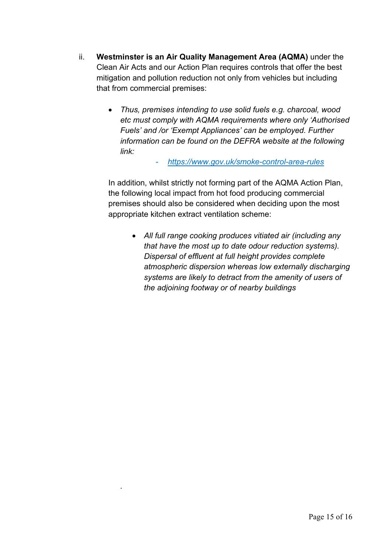- ii. **Westminster is an Air Quality Management Area (AQMA)** under the Clean Air Acts and our Action Plan requires controls that offer the best mitigation and pollution reduction not only from vehicles but including that from commercial premises:
	- *Thus, premises intending to use solid fuels e.g. charcoal, wood etc must comply with AQMA requirements where only 'Authorised Fuels' and /or 'Exempt Appliances' can be employed. Further information can be found on the DEFRA website at the following link:*

#### - *<https://www.gov.uk/smoke-control-area-rules>*

In addition, whilst strictly not forming part of the AQMA Action Plan, the following local impact from hot food producing commercial premises should also be considered when deciding upon the most appropriate kitchen extract ventilation scheme:

*.*

• *All full range cooking produces vitiated air (including any that have the most up to date odour reduction systems). Dispersal of effluent at full height provides complete atmospheric dispersion whereas low externally discharging systems are likely to detract from the amenity of users of the adjoining footway or of nearby buildings*